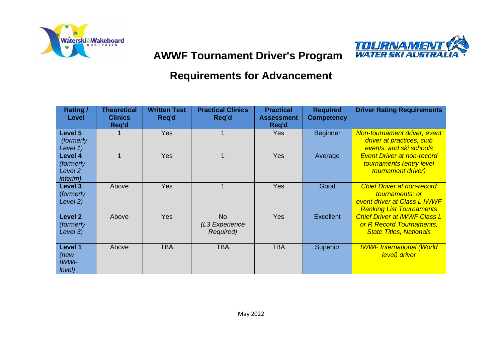

# **TOLIRNAMENT**<br>WATER SKI AUSTRA

## **AWWF Tournament Driver's Program**

## **Requirements for Advancement**

| Rating /<br>Level                                              | <b>Theoretical</b><br><b>Clinics</b><br>Req'd | <b>Written Test</b><br>Req'd | <b>Practical Clinics</b><br>Req'd        | <b>Practical</b><br><b>Assessment</b><br>Reg'd | <b>Required</b><br><b>Competency</b> | <b>Driver Rating Requirements</b>                                                                                       |
|----------------------------------------------------------------|-----------------------------------------------|------------------------------|------------------------------------------|------------------------------------------------|--------------------------------------|-------------------------------------------------------------------------------------------------------------------------|
| Level 5<br><i>(formerly)</i><br>Level 1)                       |                                               | Yes                          |                                          | <b>Yes</b>                                     | <b>Beginner</b>                      | Non-tournament driver; event<br>driver at practices, club<br>events, and ski schools                                    |
| Level 4<br>(formerly<br>Level <sub>2</sub><br><i>interim</i> ) |                                               | <b>Yes</b>                   |                                          | <b>Yes</b>                                     | Average                              | <b>Event Driver at non-record</b><br>tournaments (entry level<br>tournament driver)                                     |
| Level 3<br>(formerly<br>Level 2)                               | Above                                         | <b>Yes</b>                   |                                          | <b>Yes</b>                                     | Good                                 | <b>Chief Driver at non-record</b><br>tournaments; or<br>event driver at Class L IWWF<br><b>Ranking List Tournaments</b> |
| <b>Level 2</b><br>(formerly<br>Level 3)                        | Above                                         | <b>Yes</b>                   | <b>No</b><br>(L3 Experience<br>Required) | <b>Yes</b>                                     | <b>Excellent</b>                     | <b>Chief Driver at IWWF Class L</b><br>or R Record Tournaments,<br><b>State Titles, Nationals</b>                       |
| Level 1<br>(new<br><b>IWWF</b><br>level)                       | Above                                         | <b>TBA</b>                   | <b>TBA</b>                               | <b>TBA</b>                                     | <b>Superior</b>                      | <b>IWWF International (World</b><br>level) driver                                                                       |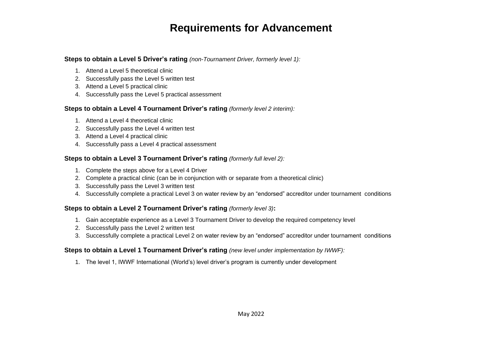### **Requirements for Advancement**

#### **Steps to obtain a Level 5 Driver's rating** *(non-Tournament Driver, formerly level 1):*

- 1. Attend a Level 5 theoretical clinic
- 2. Successfully pass the Level 5 written test
- 3. Attend a Level 5 practical clinic
- 4. Successfully pass the Level 5 practical assessment

#### **Steps to obtain a Level 4 Tournament Driver's rating** *(formerly level 2 interim):*

- 1. Attend a Level 4 theoretical clinic
- 2. Successfully pass the Level 4 written test
- 3. Attend a Level 4 practical clinic
- 4. Successfully pass a Level 4 practical assessment

#### **Steps to obtain a Level 3 Tournament Driver's rating** *(formerly full level 2):*

- 1. Complete the steps above for a Level 4 Driver
- 2. Complete a practical clinic (can be in conjunction with or separate from a theoretical clinic)
- 3. Successfully pass the Level 3 written test
- 4. Successfully complete a practical Level 3 on water review by an "endorsed" accreditor under tournament conditions

#### **Steps to obtain a Level 2 Tournament Driver's rating** *(formerly level 3)***:**

- 1. Gain acceptable experience as a Level 3 Tournament Driver to develop the required competency level
- 2. Successfully pass the Level 2 written test
- 3. Successfully complete a practical Level 2 on water review by an "endorsed" accreditor under tournament conditions

#### **Steps to obtain a Level 1 Tournament Driver's rating** *(new level under implementation by IWWF):*

1. The level 1, IWWF International (World's) level driver's program is currently under development